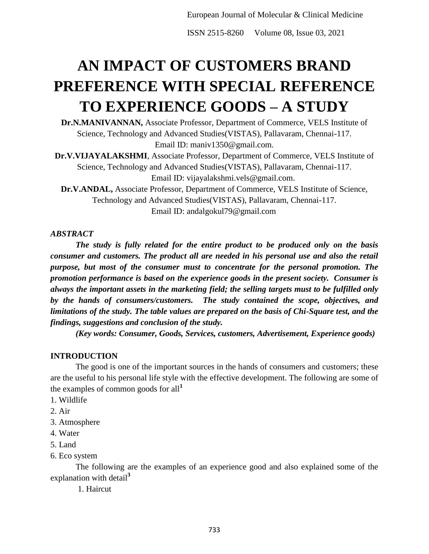ISSN 2515-8260 Volume 08, Issue 03, 2021

# **AN IMPACT OF CUSTOMERS BRAND PREFERENCE WITH SPECIAL REFERENCE TO EXPERIENCE GOODS – A STUDY**

**Dr.N.MANIVANNAN,** Associate Professor, Department of Commerce, VELS Institute of Science, Technology and Advanced Studies(VISTAS), Pallavaram, Chennai-117. Email ID: maniv1350@gmail.com.

**Dr.V.VIJAYALAKSHMI**, Associate Professor, Department of Commerce, VELS Institute of Science, Technology and Advanced Studies(VISTAS), Pallavaram, Chennai-117. Email ID: vijayalakshmi.vels@gmail.com.

**Dr.V.ANDAL,** Associate Professor, Department of Commerce, VELS Institute of Science, Technology and Advanced Studies(VISTAS), Pallavaram, Chennai-117. Email ID: andalgokul79@gmail.com

#### *ABSTRACT*

*The study is fully related for the entire product to be produced only on the basis consumer and customers. The product all are needed in his personal use and also the retail purpose, but most of the consumer must to concentrate for the personal promotion. The promotion performance is based on the experience goods in the present society. Consumer is always the important assets in the marketing field; the selling targets must to be fulfilled only by the hands of consumers/customers. The study contained the scope, objectives, and limitations of the study. The table values are prepared on the basis of Chi-Square test, and the findings, suggestions and conclusion of the study.* 

*(Key words: Consumer, Goods, Services, customers, Advertisement, Experience goods)* 

#### **INTRODUCTION**

The good is one of the important sources in the hands of consumers and customers; these are the useful to his personal life style with the effective development. The following are some of the examples of common goods for all**<sup>1</sup>**

- 1. Wildlife
- 2. Air
- 3. Atmosphere
- 4. Water
- 5. Land
- 6. Eco system

The following are the examples of an experience good and also explained some of the explanation with detail**<sup>3</sup>**

1. Haircut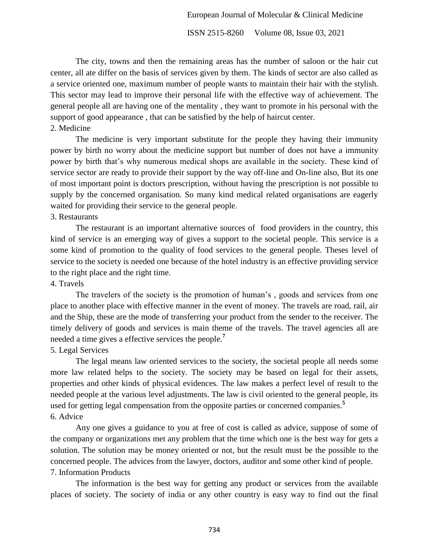ISSN 2515-8260 Volume 08, Issue 03, 2021

The city, towns and then the remaining areas has the number of saloon or the hair cut center, all ate differ on the basis of services given by them. The kinds of sector are also called as a service oriented one, maximum number of people wants to maintain their hair with the stylish. This sector may lead to improve their personal life with the effective way of achievement. The general people all are having one of the mentality , they want to promote in his personal with the support of good appearance , that can be satisfied by the help of haircut center. 2. Medicine

The medicine is very important substitute for the people they having their immunity power by birth no worry about the medicine support but number of does not have a immunity power by birth that's why numerous medical shops are available in the society. These kind of service sector are ready to provide their support by the way off-line and On-line also, But its one of most important point is doctors prescription, without having the prescription is not possible to supply by the concerned organisation. So many kind medical related organisations are eagerly waited for providing their service to the general people.

#### 3. Restaurants

The restaurant is an important alternative sources of food providers in the country, this kind of service is an emerging way of gives a support to the societal people. This service is a some kind of promotion to the quality of food services to the general people. Theses level of service to the society is needed one because of the hotel industry is an effective providing service to the right place and the right time.

#### 4. Travels

The travelers of the society is the promotion of human's , goods and services from one place to another place with effective manner in the event of money. The travels are road, rail, air and the Ship, these are the mode of transferring your product from the sender to the receiver. The timely delivery of goods and services is main theme of the travels. The travel agencies all are needed a time gives a effective services the people.**<sup>7</sup>**

## 5. Legal Services

The legal means law oriented services to the society, the societal people all needs some more law related helps to the society. The society may be based on legal for their assets, properties and other kinds of physical evidences. The law makes a perfect level of result to the needed people at the various level adjustments. The law is civil oriented to the general people, its used for getting legal compensation from the opposite parties or concerned companies.**<sup>5</sup>** 6. Advice

Any one gives a guidance to you at free of cost is called as advice, suppose of some of the company or organizations met any problem that the time which one is the best way for gets a solution. The solution may be money oriented or not, but the result must be the possible to the concerned people. The advices from the lawyer, doctors, auditor and some other kind of people. 7. Information Products

The information is the best way for getting any product or services from the available places of society. The society of india or any other country is easy way to find out the final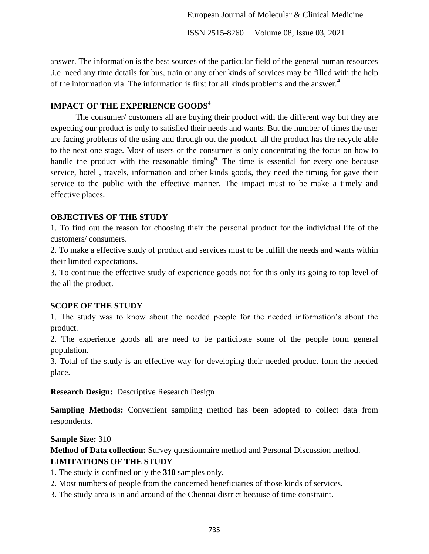ISSN 2515-8260 Volume 08, Issue 03, 2021

answer. The information is the best sources of the particular field of the general human resources .i.e need any time details for bus, train or any other kinds of services may be filled with the help of the information via. The information is first for all kinds problems and the answer.**<sup>4</sup>**

# **IMPACT OF THE EXPERIENCE GOODS<sup>4</sup>**

The consumer/ customers all are buying their product with the different way but they are expecting our product is only to satisfied their needs and wants. But the number of times the user are facing problems of the using and through out the product, all the product has the recycle able to the next one stage. Most of users or the consumer is only concentrating the focus on how to handle the product with the reasonable timing<sup>6</sup>. The time is essential for every one because service, hotel , travels, information and other kinds goods, they need the timing for gave their service to the public with the effective manner. The impact must to be make a timely and effective places.

# **OBJECTIVES OF THE STUDY**

1. To find out the reason for choosing their the personal product for the individual life of the customers/ consumers.

2. To make a effective study of product and services must to be fulfill the needs and wants within their limited expectations.

3. To continue the effective study of experience goods not for this only its going to top level of the all the product.

## **SCOPE OF THE STUDY**

1. The study was to know about the needed people for the needed information's about the product.

2. The experience goods all are need to be participate some of the people form general population.

3. Total of the study is an effective way for developing their needed product form the needed place.

**Research Design:** Descriptive Research Design

**Sampling Methods:** Convenient sampling method has been adopted to collect data from respondents.

**Sample Size:** 310

**Method of Data collection:** Survey questionnaire method and Personal Discussion method.

# **LIMITATIONS OF THE STUDY**

1. The study is confined only the **310** samples only.

- 2. Most numbers of people from the concerned beneficiaries of those kinds of services.
- 3. The study area is in and around of the Chennai district because of time constraint.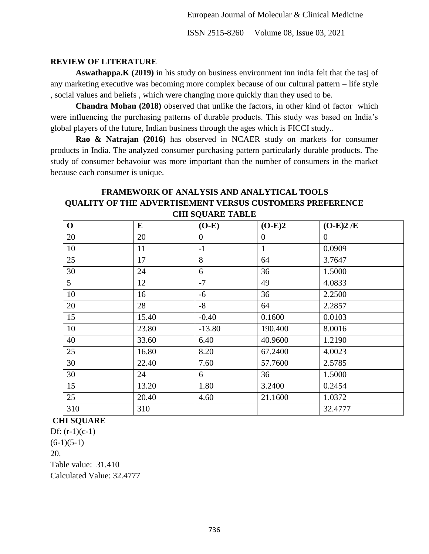ISSN 2515-8260 Volume 08, Issue 03, 2021

## **REVIEW OF LITERATURE**

**Aswathappa.K (2019)** in his study on business environment inn india felt that the tasj of any marketing executive was becoming more complex because of our cultural pattern – life style , social values and beliefs , which were changing more quickly than they used to be.

**Chandra Mohan (2018)** observed that unlike the factors, in other kind of factor which were influencing the purchasing patterns of durable products. This study was based on India's global players of the future, Indian business through the ages which is FICCI study..

**Rao & Natrajan (2016)** has observed in NCAER study on markets for consumer products in India. The analyzed consumer purchasing pattern particularly durable products. The study of consumer behavoiur was more important than the number of consumers in the market because each consumer is unique.

# **FRAMEWORK OF ANALYSIS AND ANALYTICAL TOOLS QUALITY OF THE ADVERTISEMENT VERSUS CUSTOMERS PREFERENCE CHI SQUARE TABLE**

| $\mathbf{O}$ | E     | $(O-E)$  | $(O-E)2$       | $(O-E)2/E$ |
|--------------|-------|----------|----------------|------------|
| 20           | 20    | $\theta$ | $\overline{0}$ | $\theta$   |
| 10           | 11    | $-1$     | $\mathbf{1}$   | 0.0909     |
| 25           | 17    | 8        | 64             | 3.7647     |
| 30           | 24    | 6        | 36             | 1.5000     |
| 5            | 12    | $-7$     | 49             | 4.0833     |
| 10           | 16    | $-6$     | 36             | 2.2500     |
| 20           | 28    | $-8$     | 64             | 2.2857     |
| 15           | 15.40 | $-0.40$  | 0.1600         | 0.0103     |
| 10           | 23.80 | $-13.80$ | 190.400        | 8.0016     |
| 40           | 33.60 | 6.40     | 40.9600        | 1.2190     |
| 25           | 16.80 | 8.20     | 67.2400        | 4.0023     |
| 30           | 22.40 | 7.60     | 57.7600        | 2.5785     |
| 30           | 24    | 6        | 36             | 1.5000     |
| 15           | 13.20 | 1.80     | 3.2400         | 0.2454     |
| 25           | 20.40 | 4.60     | 21.1600        | 1.0372     |
| 310          | 310   |          |                | 32.4777    |

## **CHI SQUARE**

Df:  $(r-1)(c-1)$  $(6-1)(5-1)$ 20. Table value: 31.410 Calculated Value: 32.4777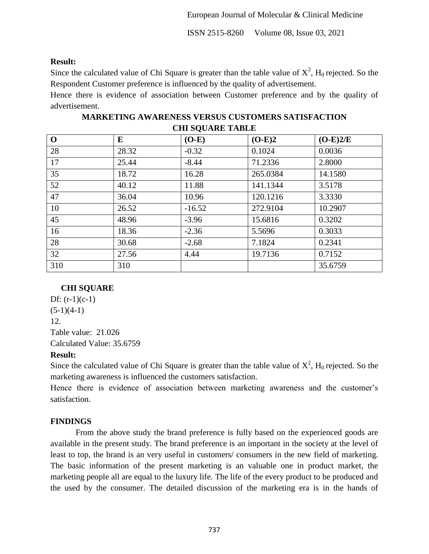ISSN 2515-8260 Volume 08, Issue 03, 2021

### **Result:**

Since the calculated value of Chi Square is greater than the table value of  $X^2$ ,  $H_0$  rejected. So the Respondent Customer preference is influenced by the quality of advertisement.

Hence there is evidence of association between Customer preference and by the quality of advertisement.

| <b>CHI DOUARE TADLE</b> |       |          |          |            |  |  |  |
|-------------------------|-------|----------|----------|------------|--|--|--|
| $\mathbf 0$             | E     | $(O-E)$  | $(O-E)2$ | $(O-E)2/E$ |  |  |  |
| 28                      | 28.32 | $-0.32$  | 0.1024   | 0.0036     |  |  |  |
| 17                      | 25.44 | $-8.44$  | 71.2336  | 2.8000     |  |  |  |
| 35                      | 18.72 | 16.28    | 265.0384 | 14.1580    |  |  |  |
| 52                      | 40.12 | 11.88    | 141.1344 | 3.5178     |  |  |  |
| 47                      | 36.04 | 10.96    | 120.1216 | 3.3330     |  |  |  |
| 10                      | 26.52 | $-16.52$ | 272.9104 | 10.2907    |  |  |  |
| 45                      | 48.96 | $-3.96$  | 15.6816  | 0.3202     |  |  |  |
| 16                      | 18.36 | $-2.36$  | 5.5696   | 0.3033     |  |  |  |
| 28                      | 30.68 | $-2.68$  | 7.1824   | 0.2341     |  |  |  |
| 32                      | 27.56 | 4.44     | 19.7136  | 0.7152     |  |  |  |
| 310                     | 310   |          |          | 35.6759    |  |  |  |

**MARKETING AWARENESS VERSUS CUSTOMERS SATISFACTION CHI SQUARE TABLE**

# **CHI SQUARE**

Df:  $(r-1)(c-1)$  $(5-1)(4-1)$ 12. Table value: 21.026 Calculated Value: 35.6759

## **Result:**

Since the calculated value of Chi Square is greater than the table value of  $X^2$ ,  $H_0$  rejected. So the marketing awareness is influenced the customers satisfaction.

Hence there is evidence of association between marketing awareness and the customer's satisfaction.

# **FINDINGS**

From the above study the brand preference is fully based on the experienced goods are available in the present study. The brand preference is an important in the society at the level of least to top, the brand is an very useful in customers/ consumers in the new field of marketing. The basic information of the present marketing is an valuable one in product market, the marketing people all are equal to the luxury life. The life of the every product to be produced and the used by the consumer. The detailed discussion of the marketing era is in the hands of